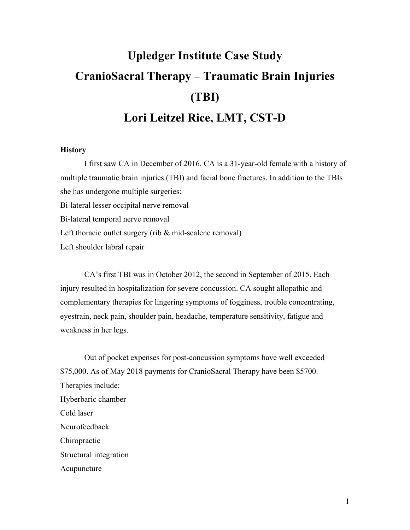# **Upledger Institute Case Study CranioSacral Therapy – Traumatic Brain Injuries (TBI) Lori Leitzel Rice, LMT, CST-D**

#### **History**

I first saw CA in December of 2016. CA is a 31-year-old female with a history of multiple traumatic brain injuries (TBI) and facial bone fractures. In addition to the TBIs she has undergone multiple surgeries: Bi-lateral lesser occipital nerve removal Bi-lateral temporal nerve removal Left thoracic outlet surgery (rib & mid-scalene removal) Left shoulder labral repair

CA's first TBI was in October 2012, the second in September of 2015. Each injury resulted in hospitalization for severe concussion. CA sought allopathic and complementary therapies for lingering symptoms of fogginess, trouble concentrating, eyestrain, neck pain, shoulder pain, headache, temperature sensitivity, fatigue and weakness in her legs.

 Out of pocket expenses for post-concussion symptoms have well exceeded \$75,000. As of May 2018 payments for CranioSacral Therapy have been \$5700. Therapies include: Hyberbaric chamber Cold laser Neurofeedback Chiropractic Structural integration Acupuncture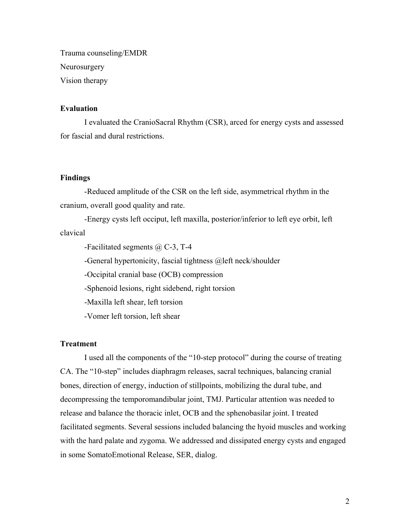Trauma counseling/EMDR Neurosurgery Vision therapy

## **Evaluation**

I evaluated the CranioSacral Rhythm (CSR), arced for energy cysts and assessed for fascial and dural restrictions.

## **Findings**

 -Reduced amplitude of the CSR on the left side, asymmetrical rhythm in the cranium, overall good quality and rate.

 -Energy cysts left occiput, left maxilla, posterior/inferior to left eye orbit, left clavical

-Facilitated segments @ C-3, T-4

-General hypertonicity, fascial tightness @left neck/shoulder

-Occipital cranial base (OCB) compression

-Sphenoid lesions, right sidebend, right torsion

-Maxilla left shear, left torsion

-Vomer left torsion, left shear

# **Treatment**

 I used all the components of the "10-step protocol" during the course of treating CA. The "10-step" includes diaphragm releases, sacral techniques, balancing cranial bones, direction of energy, induction of stillpoints, mobilizing the dural tube, and decompressing the temporomandibular joint, TMJ. Particular attention was needed to release and balance the thoracic inlet, OCB and the sphenobasilar joint. I treated facilitated segments. Several sessions included balancing the hyoid muscles and working with the hard palate and zygoma. We addressed and dissipated energy cysts and engaged in some SomatoEmotional Release, SER, dialog.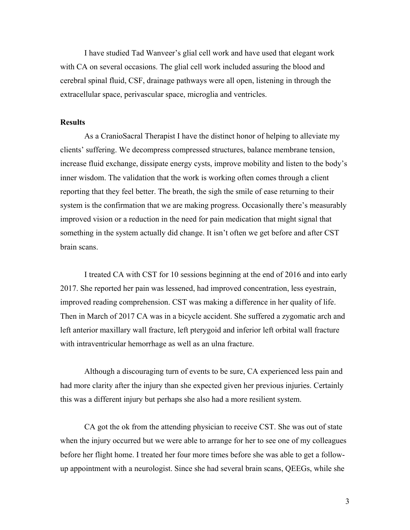I have studied Tad Wanveer's glial cell work and have used that elegant work with CA on several occasions. The glial cell work included assuring the blood and cerebral spinal fluid, CSF, drainage pathways were all open, listening in through the extracellular space, perivascular space, microglia and ventricles.

#### **Results**

 As a CranioSacral Therapist I have the distinct honor of helping to alleviate my clients' suffering. We decompress compressed structures, balance membrane tension, increase fluid exchange, dissipate energy cysts, improve mobility and listen to the body's inner wisdom. The validation that the work is working often comes through a client reporting that they feel better. The breath, the sigh the smile of ease returning to their system is the confirmation that we are making progress. Occasionally there's measurably improved vision or a reduction in the need for pain medication that might signal that something in the system actually did change. It isn't often we get before and after CST brain scans.

 I treated CA with CST for 10 sessions beginning at the end of 2016 and into early 2017. She reported her pain was lessened, had improved concentration, less eyestrain, improved reading comprehension. CST was making a difference in her quality of life. Then in March of 2017 CA was in a bicycle accident. She suffered a zygomatic arch and left anterior maxillary wall fracture, left pterygoid and inferior left orbital wall fracture with intraventricular hemorrhage as well as an ulna fracture.

 Although a discouraging turn of events to be sure, CA experienced less pain and had more clarity after the injury than she expected given her previous injuries. Certainly this was a different injury but perhaps she also had a more resilient system.

 CA got the ok from the attending physician to receive CST. She was out of state when the injury occurred but we were able to arrange for her to see one of my colleagues before her flight home. I treated her four more times before she was able to get a followup appointment with a neurologist. Since she had several brain scans, QEEGs, while she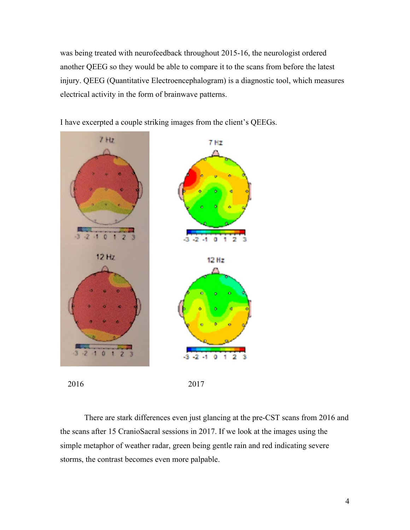was being treated with neurofeedback throughout 2015-16, the neurologist ordered another QEEG so they would be able to compare it to the scans from before the latest injury. QEEG (Quantitative Electroencephalogram) is a diagnostic tool, which measures electrical activity in the form of brainwave patterns.

I have excerpted a couple striking images from the client's QEEGs.



 There are stark differences even just glancing at the pre-CST scans from 2016 and the scans after 15 CranioSacral sessions in 2017. If we look at the images using the simple metaphor of weather radar, green being gentle rain and red indicating severe storms, the contrast becomes even more palpable.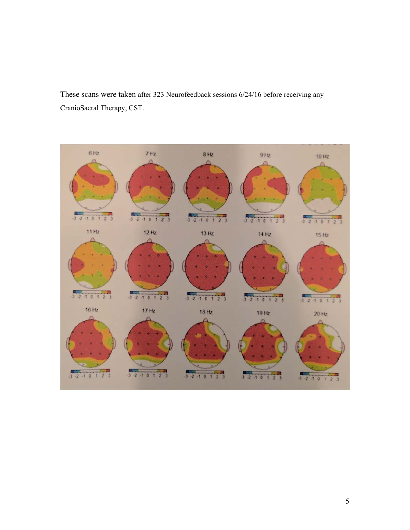These scans were taken after 323 Neurofeedback sessions 6/24/16 before receiving any CranioSacral Therapy, CST.